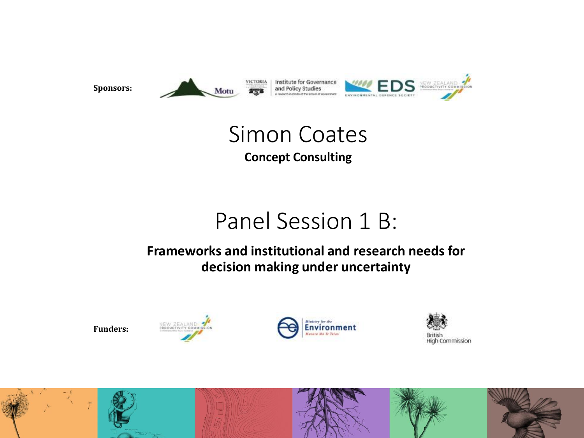

### Simon Coates **Concept Consulting**

## Panel Session 1 B:

#### **Frameworks and institutional and research needs for decision making under uncertainty**









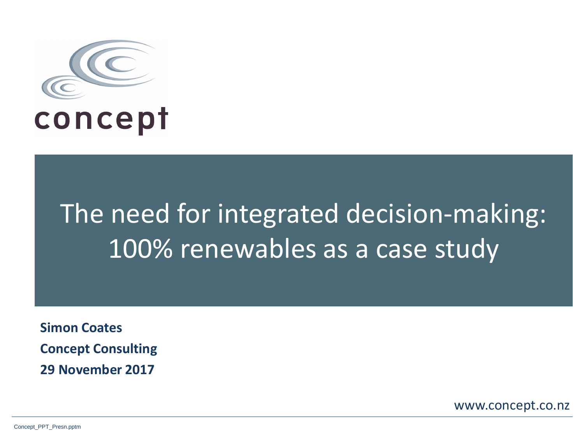

# The need for integrated decision-making: 100% renewables as a case study

**Simon Coates Concept Consulting 29 November 2017**

www.concept.co.nz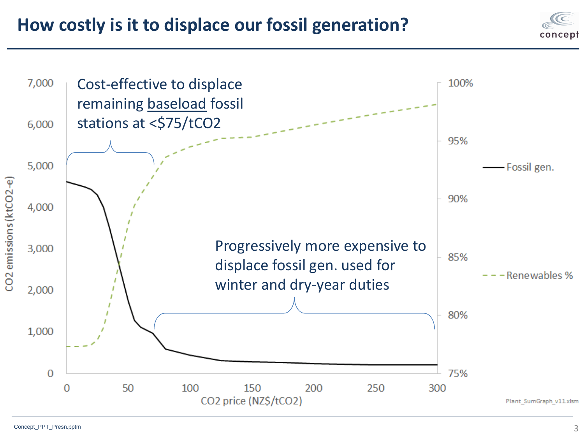**How costly is it to displace our fossil generation?**



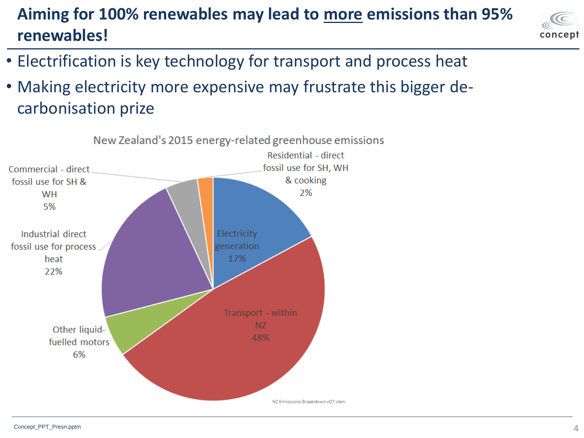### **Aiming for 100% renewables may lead to more emissions than 95% renewables!**



- Electrification is key technology for transport and process heat
- Making electricity more expensive may frustrate this bigger decarbonisation prize

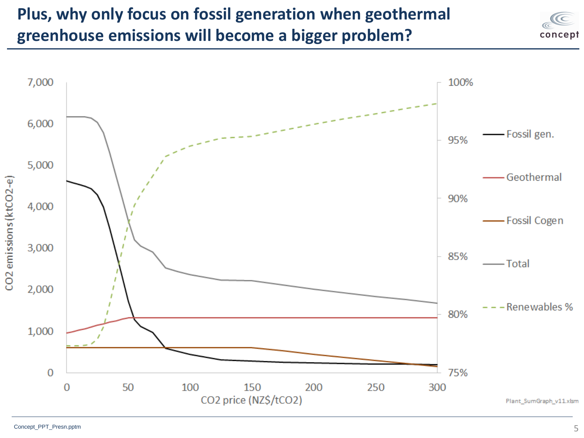### **Plus, why only focus on fossil generation when geothermal greenhouse emissions will become a bigger problem?**



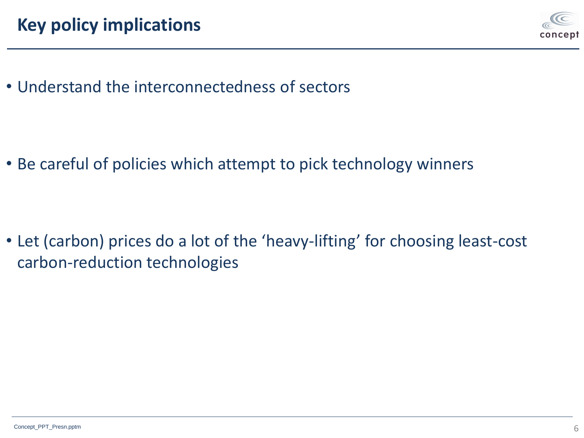

• Understand the interconnectedness of sectors

• Be careful of policies which attempt to pick technology winners

• Let (carbon) prices do a lot of the 'heavy-lifting' for choosing least-cost carbon-reduction technologies